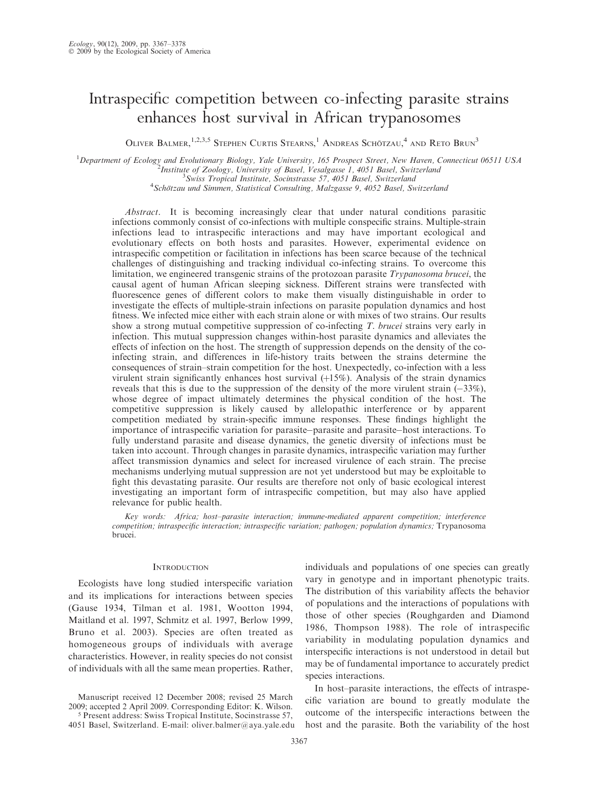# Intraspecific competition between co-infecting parasite strains enhances host survival in African trypanosomes

OLIVER BALMER, <sup>1,2,3,5</sup> STEPHEN CURTIS STEARNS,<sup>1</sup> ANDREAS SCHÖTZAU,<sup>4</sup> AND RETO BRUN<sup>3</sup>

<sup>1</sup>Department of Ecology and Evolutionary Biology, Yale University, 165 Prospect Street, New Haven, Connecticut 06511 USA<br><sup>2</sup>2 President of Zoology University of Basel Vesslagsse 1, 4051 Basel, Switzerland <sup>2</sup>Institute of Zoology, University of Basel, Vesalgasse 1, 4051 Basel, Switzerland<br><sup>3</sup>Swiss Tropical Institute, Socinstrasse 57, 4051 Basel, Switzerland Swiss Tropical Institute, Socinstrasse 57, 4051 Basel, Switzerland<br><sup>4</sup>Schötzau und Simmen, Statistical Consulting, Malzgasse 9, 4052 Basel, Switzerland

Abstract. It is becoming increasingly clear that under natural conditions parasitic infections commonly consist of co-infections with multiple conspecific strains. Multiple-strain infections lead to intraspecific interactions and may have important ecological and evolutionary effects on both hosts and parasites. However, experimental evidence on intraspecific competition or facilitation in infections has been scarce because of the technical challenges of distinguishing and tracking individual co-infecting strains. To overcome this limitation, we engineered transgenic strains of the protozoan parasite Trypanosoma brucei, the causal agent of human African sleeping sickness. Different strains were transfected with fluorescence genes of different colors to make them visually distinguishable in order to investigate the effects of multiple-strain infections on parasite population dynamics and host fitness. We infected mice either with each strain alone or with mixes of two strains. Our results show a strong mutual competitive suppression of co-infecting T. brucei strains very early in infection. This mutual suppression changes within-host parasite dynamics and alleviates the effects of infection on the host. The strength of suppression depends on the density of the coinfecting strain, and differences in life-history traits between the strains determine the consequences of strain–strain competition for the host. Unexpectedly, co-infection with a less virulent strain significantly enhances host survival  $(+15\%)$ . Analysis of the strain dynamics reveals that this is due to the suppression of the density of the more virulent strain  $(-33\%)$ , whose degree of impact ultimately determines the physical condition of the host. The competitive suppression is likely caused by allelopathic interference or by apparent competition mediated by strain-specific immune responses. These findings highlight the importance of intraspecific variation for parasite-parasite and parasite-host interactions. To fully understand parasite and disease dynamics, the genetic diversity of infections must be taken into account. Through changes in parasite dynamics, intraspecific variation may further affect transmission dynamics and select for increased virulence of each strain. The precise mechanisms underlying mutual suppression are not yet understood but may be exploitable to fight this devastating parasite. Our results are therefore not only of basic ecological interest investigating an important form of intraspecific competition, but may also have applied relevance for public health.

Key words: Africa; host–parasite interaction; immune-mediated apparent competition; interference competition; intraspecific interaction; intraspecific variation; pathogen; population dynamics; Trypanosoma brucei.

## **INTRODUCTION**

Ecologists have long studied interspecific variation and its implications for interactions between species (Gause 1934, Tilman et al. 1981, Wootton 1994, Maitland et al. 1997, Schmitz et al. 1997, Berlow 1999, Bruno et al. 2003). Species are often treated as homogeneous groups of individuals with average characteristics. However, in reality species do not consist of individuals with all the same mean properties. Rather,

Manuscript received 12 December 2008; revised 25 March 2009; accepted 2 April 2009. Corresponding Editor: K. Wilson. <sup>5</sup> Present address: Swiss Tropical Institute, Socinstrasse 57, 4051 Basel, Switzerland. E-mail: oliver.balmer@aya.yale.edu individuals and populations of one species can greatly vary in genotype and in important phenotypic traits. The distribution of this variability affects the behavior of populations and the interactions of populations with those of other species (Roughgarden and Diamond 1986, Thompson 1988). The role of intraspecific variability in modulating population dynamics and interspecific interactions is not understood in detail but may be of fundamental importance to accurately predict species interactions.

In host–parasite interactions, the effects of intraspecific variation are bound to greatly modulate the outcome of the interspecific interactions between the host and the parasite. Both the variability of the host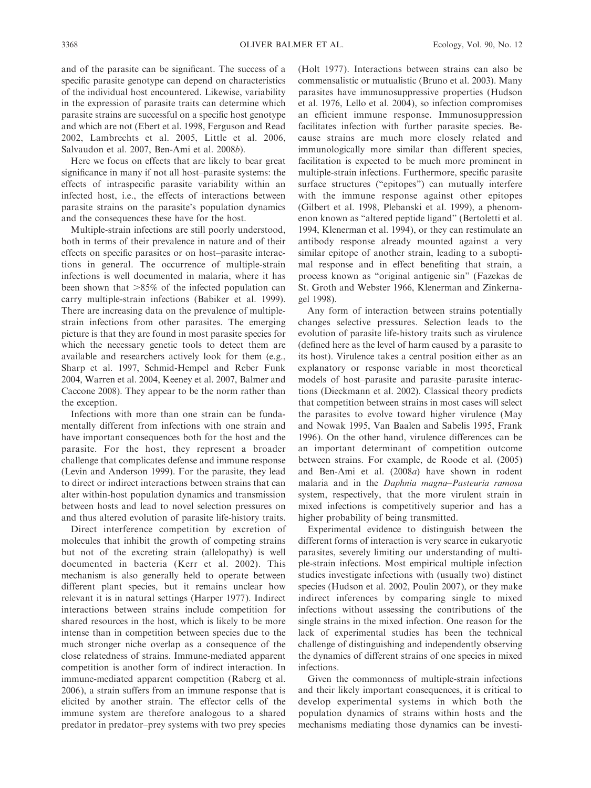and of the parasite can be significant. The success of a specific parasite genotype can depend on characteristics of the individual host encountered. Likewise, variability in the expression of parasite traits can determine which parasite strains are successful on a specific host genotype and which are not (Ebert et al. 1998, Ferguson and Read 2002, Lambrechts et al. 2005, Little et al. 2006, Salvaudon et al. 2007, Ben-Ami et al. 2008b).

Here we focus on effects that are likely to bear great significance in many if not all host–parasite systems: the effects of intraspecific parasite variability within an infected host, i.e., the effects of interactions between parasite strains on the parasite's population dynamics and the consequences these have for the host.

Multiple-strain infections are still poorly understood, both in terms of their prevalence in nature and of their effects on specific parasites or on host–parasite interactions in general. The occurrence of multiple-strain infections is well documented in malaria, where it has been shown that  $>85\%$  of the infected population can carry multiple-strain infections (Babiker et al. 1999). There are increasing data on the prevalence of multiplestrain infections from other parasites. The emerging picture is that they are found in most parasite species for which the necessary genetic tools to detect them are available and researchers actively look for them (e.g., Sharp et al. 1997, Schmid-Hempel and Reber Funk 2004, Warren et al. 2004, Keeney et al. 2007, Balmer and Caccone 2008). They appear to be the norm rather than the exception.

Infections with more than one strain can be fundamentally different from infections with one strain and have important consequences both for the host and the parasite. For the host, they represent a broader challenge that complicates defense and immune response (Levin and Anderson 1999). For the parasite, they lead to direct or indirect interactions between strains that can alter within-host population dynamics and transmission between hosts and lead to novel selection pressures on and thus altered evolution of parasite life-history traits.

Direct interference competition by excretion of molecules that inhibit the growth of competing strains but not of the excreting strain (allelopathy) is well documented in bacteria (Kerr et al. 2002). This mechanism is also generally held to operate between different plant species, but it remains unclear how relevant it is in natural settings (Harper 1977). Indirect interactions between strains include competition for shared resources in the host, which is likely to be more intense than in competition between species due to the much stronger niche overlap as a consequence of the close relatedness of strains. Immune-mediated apparent competition is another form of indirect interaction. In immune-mediated apparent competition (Raberg et al. 2006), a strain suffers from an immune response that is elicited by another strain. The effector cells of the immune system are therefore analogous to a shared predator in predator–prey systems with two prey species (Holt 1977). Interactions between strains can also be commensalistic or mutualistic (Bruno et al. 2003). Many parasites have immunosuppressive properties (Hudson et al. 1976, Lello et al. 2004), so infection compromises an efficient immune response. Immunosuppression facilitates infection with further parasite species. Because strains are much more closely related and immunologically more similar than different species, facilitation is expected to be much more prominent in multiple-strain infections. Furthermore, specific parasite surface structures ("epitopes") can mutually interfere with the immune response against other epitopes (Gilbert et al. 1998, Plebanski et al. 1999), a phenomenon known as ''altered peptide ligand'' (Bertoletti et al. 1994, Klenerman et al. 1994), or they can restimulate an antibody response already mounted against a very similar epitope of another strain, leading to a suboptimal response and in effect benefiting that strain, a process known as ''original antigenic sin'' (Fazekas de St. Groth and Webster 1966, Klenerman and Zinkernagel 1998).

Any form of interaction between strains potentially changes selective pressures. Selection leads to the evolution of parasite life-history traits such as virulence (defined here as the level of harm caused by a parasite to its host). Virulence takes a central position either as an explanatory or response variable in most theoretical models of host–parasite and parasite–parasite interactions (Dieckmann et al. 2002). Classical theory predicts that competition between strains in most cases will select the parasites to evolve toward higher virulence (May and Nowak 1995, Van Baalen and Sabelis 1995, Frank 1996). On the other hand, virulence differences can be an important determinant of competition outcome between strains. For example, de Roode et al. (2005) and Ben-Ami et al. (2008a) have shown in rodent malaria and in the Daphnia magna–Pasteuria ramosa system, respectively, that the more virulent strain in mixed infections is competitively superior and has a higher probability of being transmitted.

Experimental evidence to distinguish between the different forms of interaction is very scarce in eukaryotic parasites, severely limiting our understanding of multiple-strain infections. Most empirical multiple infection studies investigate infections with (usually two) distinct species (Hudson et al. 2002, Poulin 2007), or they make indirect inferences by comparing single to mixed infections without assessing the contributions of the single strains in the mixed infection. One reason for the lack of experimental studies has been the technical challenge of distinguishing and independently observing the dynamics of different strains of one species in mixed infections.

Given the commonness of multiple-strain infections and their likely important consequences, it is critical to develop experimental systems in which both the population dynamics of strains within hosts and the mechanisms mediating those dynamics can be investi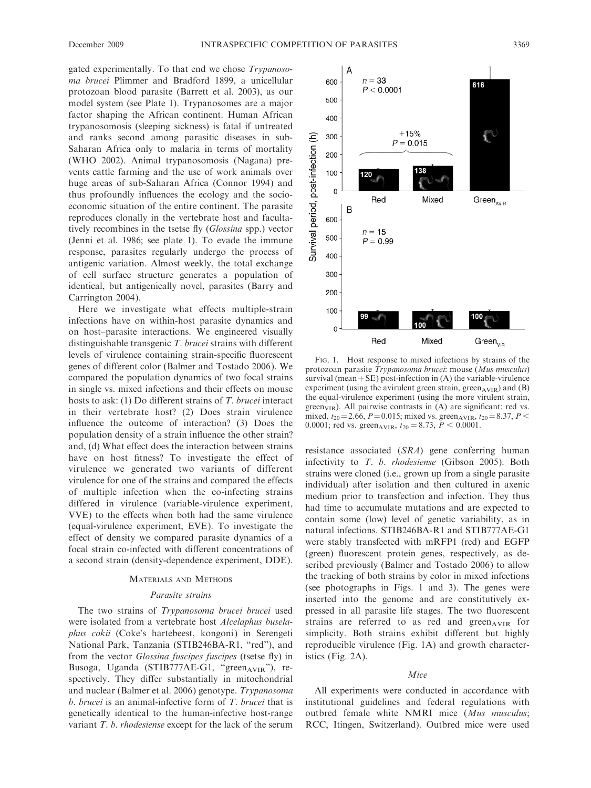gated experimentally. To that end we chose Trypanosoma brucei Plimmer and Bradford 1899, a unicellular protozoan blood parasite (Barrett et al. 2003), as our model system (see Plate 1). Trypanosomes are a major factor shaping the African continent. Human African trypanosomosis (sleeping sickness) is fatal if untreated and ranks second among parasitic diseases in sub-Saharan Africa only to malaria in terms of mortality (WHO 2002). Animal trypanosomosis (Nagana) prevents cattle farming and the use of work animals over huge areas of sub-Saharan Africa (Connor 1994) and thus profoundly influences the ecology and the socioeconomic situation of the entire continent. The parasite reproduces clonally in the vertebrate host and facultatively recombines in the tsetse fly (Glossina spp.) vector (Jenni et al. 1986; see plate 1). To evade the immune response, parasites regularly undergo the process of antigenic variation. Almost weekly, the total exchange of cell surface structure generates a population of identical, but antigenically novel, parasites (Barry and Carrington 2004).

Here we investigate what effects multiple-strain infections have on within-host parasite dynamics and on host–parasite interactions. We engineered visually distinguishable transgenic *T. brucei* strains with different levels of virulence containing strain-specific fluorescent genes of different color (Balmer and Tostado 2006). We compared the population dynamics of two focal strains in single vs. mixed infections and their effects on mouse hosts to ask: (1) Do different strains of T. brucei interact in their vertebrate host? (2) Does strain virulence influence the outcome of interaction? (3) Does the population density of a strain influence the other strain? and, (d) What effect does the interaction between strains have on host fitness? To investigate the effect of virulence we generated two variants of different virulence for one of the strains and compared the effects of multiple infection when the co-infecting strains differed in virulence (variable-virulence experiment, VVE) to the effects when both had the same virulence (equal-virulence experiment, EVE). To investigate the effect of density we compared parasite dynamics of a focal strain co-infected with different concentrations of a second strain (density-dependence experiment, DDE).

#### MATERIALS AND METHODS

## Parasite strains

The two strains of Trypanosoma brucei brucei used were isolated from a vertebrate host Alcelaphus buselaphus cokii (Coke's hartebeest, kongoni) in Serengeti National Park, Tanzania (STIB246BA-R1, "red"), and from the vector Glossina fuscipes fuscipes (tsetse fly) in Busoga, Uganda (STIB777AE-G1, "greenAVIR"), respectively. They differ substantially in mitochondrial and nuclear (Balmer et al. 2006) genotype. Trypanosoma  $b.$  brucei is an animal-infective form of  $T.$  brucei that is genetically identical to the human-infective host-range variant T. b. rhodesiense except for the lack of the serum



FIG. 1. Host response to mixed infections by strains of the protozoan parasite Trypanosoma brucei: mouse (Mus musculus) survival (mean  $+$  SE) post-infection in (A) the variable-virulence experiment (using the avirulent green strain, green $_{AVIR}$ ) and (B) the equal-virulence experiment (using the more virulent strain, green<sub>VIR</sub>). All pairwise contrasts in  $(A)$  are significant: red vs. mixed,  $t_{20}$  = 2.66, P = 0.015; mixed vs. green<sub>AVIR</sub>,  $t_{20}$  = 8.37, P < 0.0001; red vs. green<sub>AVIR</sub>,  $t_{20} = 8.73$ ,  $P < 0.0001$ .

resistance associated (SRA) gene conferring human infectivity to T. b. rhodesiense (Gibson 2005). Both strains were cloned (i.e., grown up from a single parasite individual) after isolation and then cultured in axenic medium prior to transfection and infection. They thus had time to accumulate mutations and are expected to contain some (low) level of genetic variability, as in natural infections. STIB246BA-R1 and STIB777AE-G1 were stably transfected with mRFP1 (red) and EGFP (green) fluorescent protein genes, respectively, as described previously (Balmer and Tostado 2006) to allow the tracking of both strains by color in mixed infections (see photographs in Figs. 1 and 3). The genes were inserted into the genome and are constitutively expressed in all parasite life stages. The two fluorescent strains are referred to as red and green $_{\text{AVIR}}$  for simplicity. Both strains exhibit different but highly reproducible virulence (Fig. 1A) and growth characteristics (Fig. 2A).

## Mice

All experiments were conducted in accordance with institutional guidelines and federal regulations with outbred female white NMRI mice (Mus musculus; RCC, Itingen, Switzerland). Outbred mice were used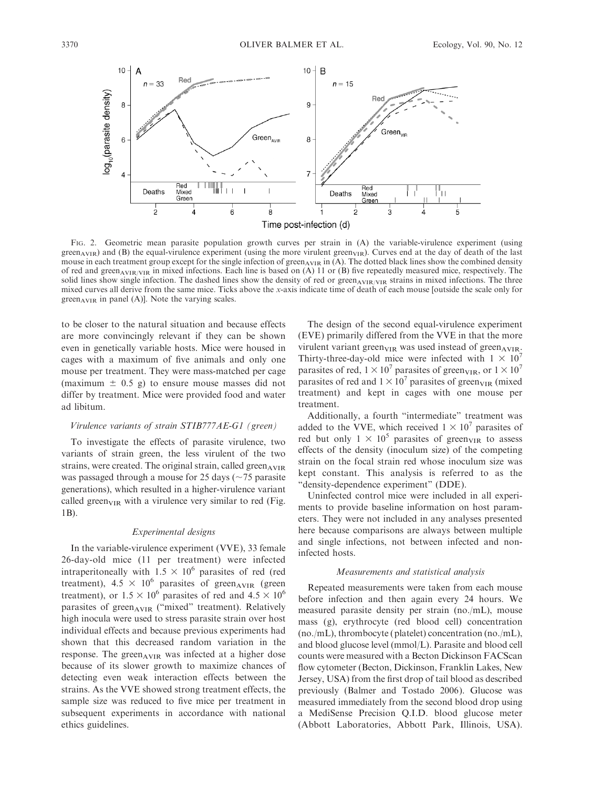

FIG. 2. Geometric mean parasite population growth curves per strain in (A) the variable-virulence experiment (using green<sub>AVIR</sub>) and (B) the equal-virulence experiment (using the more virulent green<sub>VIR</sub>). Curves end at the day of death of the last mouse in each treatment group except for the single infection of green<sub>AVIR</sub> in (A). The dotted black lines show the combined density of red and green<sub>AVIR/VIR</sub> in mixed infections. Each line is based on  $(A)$  11 or  $(B)$  five repeatedly measured mice, respectively. The solid lines show single infection. The dashed lines show the density of red or green<sub>AVIR/VIR</sub> strains in mixed infections. The three mixed curves all derive from the same mice. Ticks above the x-axis indicate time of death of each mouse [outside the scale only for  $green_{AVIR}$  in panel (A)]. Note the varying scales.

to be closer to the natural situation and because effects are more convincingly relevant if they can be shown even in genetically variable hosts. Mice were housed in cages with a maximum of five animals and only one mouse per treatment. They were mass-matched per cage (maximum  $\pm$  0.5 g) to ensure mouse masses did not differ by treatment. Mice were provided food and water ad libitum.

## Virulence variants of strain STIB777AE-G1 (green)

To investigate the effects of parasite virulence, two variants of strain green, the less virulent of the two strains, were created. The original strain, called  $green_{AVIR}$ was passaged through a mouse for 25 days ( $\sim$ 75 parasite generations), which resulted in a higher-virulence variant called green $_{\text{VIR}}$  with a virulence very similar to red (Fig. 1B).

## Experimental designs

In the variable-virulence experiment (VVE), 33 female 26-day-old mice (11 per treatment) were infected intraperitoneally with  $1.5 \times 10^6$  parasites of red (red treatment),  $4.5 \times 10^6$  parasites of green<sub>AVIR</sub> (green treatment), or  $1.5 \times 10^6$  parasites of red and  $4.5 \times 10^6$ parasites of green $_{AVIR}$  ("mixed" treatment). Relatively high inocula were used to stress parasite strain over host individual effects and because previous experiments had shown that this decreased random variation in the response. The green $_{\text{AVIR}}$  was infected at a higher dose because of its slower growth to maximize chances of detecting even weak interaction effects between the strains. As the VVE showed strong treatment effects, the sample size was reduced to five mice per treatment in subsequent experiments in accordance with national ethics guidelines.

The design of the second equal-virulence experiment (EVE) primarily differed from the VVE in that the more virulent variant green $_{\text{VIR}}$  was used instead of green $_{\text{AVIR}}$ . Thirty-three-day-old mice were infected with  $1 \times 10^7$ parasites of red,  $1 \times 10^7$  parasites of green<sub>VIR</sub>, or  $1 \times 10^7$ parasites of red and  $1 \times 10^7$  parasites of green<sub>VIR</sub> (mixed treatment) and kept in cages with one mouse per treatment.

Additionally, a fourth ''intermediate'' treatment was added to the VVE, which received  $1 \times 10^7$  parasites of red but only  $1 \times 10^5$  parasites of green<sub>VIR</sub> to assess effects of the density (inoculum size) of the competing strain on the focal strain red whose inoculum size was kept constant. This analysis is referred to as the ''density-dependence experiment'' (DDE).

Uninfected control mice were included in all experiments to provide baseline information on host parameters. They were not included in any analyses presented here because comparisons are always between multiple and single infections, not between infected and noninfected hosts.

## Measurements and statistical analysis

Repeated measurements were taken from each mouse before infection and then again every 24 hours. We measured parasite density per strain (no./mL), mouse mass (g), erythrocyte (red blood cell) concentration (no./mL), thrombocyte (platelet) concentration (no./mL), and blood glucose level (mmol/L). Parasite and blood cell counts were measured with a Becton Dickinson FACScan flow cytometer (Becton, Dickinson, Franklin Lakes, New Jersey, USA) from the first drop of tail blood as described previously (Balmer and Tostado 2006). Glucose was measured immediately from the second blood drop using a MediSense Precision Q.I.D. blood glucose meter (Abbott Laboratories, Abbott Park, Illinois, USA).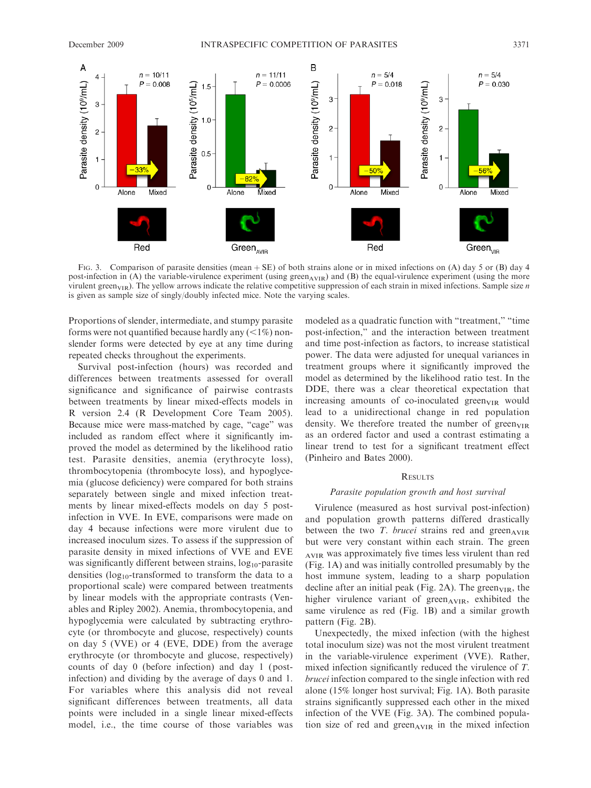

FIG. 3. Comparison of parasite densities (mean  $+$  SE) of both strains alone or in mixed infections on (A) day 5 or (B) day 4 post-infection in (A) the variable-virulence experiment (using green<sub>AVIR</sub>) and (B) the equal-virulence experiment (using the more virulent green<sub>VIR</sub>). The yellow arrows indicate the relative competitive suppression of each strain in mixed infections. Sample size *n* is given as sample size of singly/doubly infected mice. Note the varying scales.

Proportions of slender, intermediate, and stumpy parasite forms were not quantified because hardly any  $(<1\%)$  nonslender forms were detected by eye at any time during repeated checks throughout the experiments.

Survival post-infection (hours) was recorded and differences between treatments assessed for overall significance and significance of pairwise contrasts between treatments by linear mixed-effects models in R version 2.4 (R Development Core Team 2005). Because mice were mass-matched by cage, "cage" was included as random effect where it significantly improved the model as determined by the likelihood ratio test. Parasite densities, anemia (erythrocyte loss), thrombocytopenia (thrombocyte loss), and hypoglycemia (glucose deficiency) were compared for both strains separately between single and mixed infection treatments by linear mixed-effects models on day 5 postinfection in VVE. In EVE, comparisons were made on day 4 because infections were more virulent due to increased inoculum sizes. To assess if the suppression of parasite density in mixed infections of VVE and EVE was significantly different between strains,  $log_{10}$ -parasite densities ( $log_{10}$ -transformed to transform the data to a proportional scale) were compared between treatments by linear models with the appropriate contrasts (Venables and Ripley 2002). Anemia, thrombocytopenia, and hypoglycemia were calculated by subtracting erythrocyte (or thrombocyte and glucose, respectively) counts on day 5 (VVE) or 4 (EVE, DDE) from the average erythrocyte (or thrombocyte and glucose, respectively) counts of day 0 (before infection) and day 1 (postinfection) and dividing by the average of days 0 and 1. For variables where this analysis did not reveal significant differences between treatments, all data points were included in a single linear mixed-effects model, i.e., the time course of those variables was modeled as a quadratic function with ''treatment,'' ''time post-infection,'' and the interaction between treatment and time post-infection as factors, to increase statistical power. The data were adjusted for unequal variances in treatment groups where it significantly improved the model as determined by the likelihood ratio test. In the DDE, there was a clear theoretical expectation that increasing amounts of co-inoculated green $_{\text{VIR}}$  would lead to a unidirectional change in red population density. We therefore treated the number of green $_{VIR}$ as an ordered factor and used a contrast estimating a linear trend to test for a significant treatment effect (Pinheiro and Bates 2000).

# **RESULTS**

## Parasite population growth and host survival

Virulence (measured as host survival post-infection) and population growth patterns differed drastically between the two  $T$ . brucei strains red and greenAVIR but were very constant within each strain. The green AVIR was approximately five times less virulent than red (Fig. 1A) and was initially controlled presumably by the host immune system, leading to a sharp population decline after an initial peak (Fig. 2A). The green $_{\text{VIR}}$ , the higher virulence variant of greenAVIR, exhibited the same virulence as red (Fig. 1B) and a similar growth pattern (Fig. 2B).

Unexpectedly, the mixed infection (with the highest total inoculum size) was not the most virulent treatment in the variable-virulence experiment (VVE). Rather, mixed infection significantly reduced the virulence of T. brucei infection compared to the single infection with red alone (15% longer host survival; Fig. 1A). Both parasite strains significantly suppressed each other in the mixed infection of the VVE (Fig. 3A). The combined population size of red and green $_{\text{AVIR}}$  in the mixed infection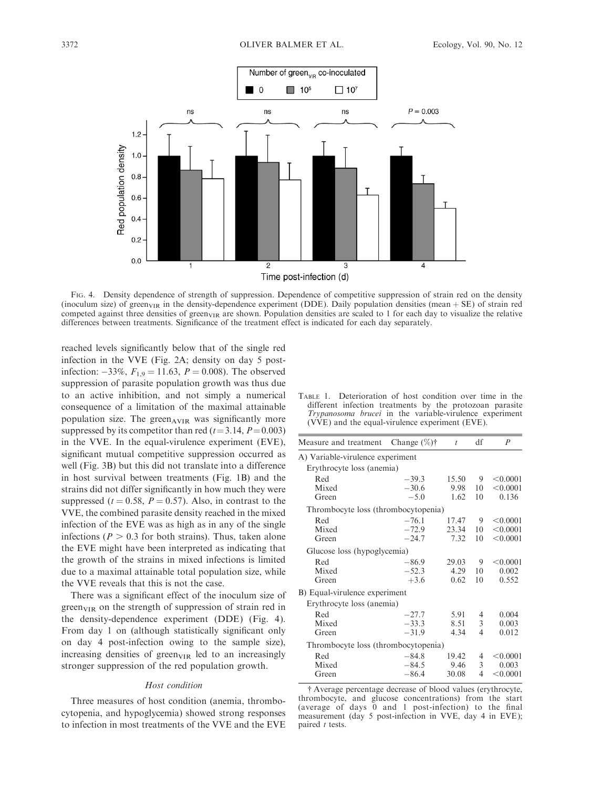

FIG. 4. Density dependence of strength of suppression. Dependence of competitive suppression of strain red on the density (inoculum size) of green<sub>VIR</sub> in the density-dependence experiment (DDE). Daily population densities (mean  $+$  SE) of strain red competed against three densities of green<sub>VIR</sub> are shown. Population densities are scaled to 1 for each day to visualize the relative differences between treatments. Significance of the treatment effect is indicated for each day separately.

reached levels significantly below that of the single red infection in the VVE (Fig. 2A; density on day 5 postinfection:  $-33\%, F_{1,9} = 11.63, P = 0.008$ ). The observed suppression of parasite population growth was thus due to an active inhibition, and not simply a numerical consequence of a limitation of the maximal attainable population size. The green $_{\text{AVIR}}$  was significantly more suppressed by its competitor than red ( $t=3.14, P=0.003$ ) in the VVE. In the equal-virulence experiment (EVE), significant mutual competitive suppression occurred as well (Fig. 3B) but this did not translate into a difference in host survival between treatments (Fig. 1B) and the strains did not differ significantly in how much they were suppressed ( $t = 0.58$ ,  $P = 0.57$ ). Also, in contrast to the VVE, the combined parasite density reached in the mixed infection of the EVE was as high as in any of the single infections ( $P > 0.3$  for both strains). Thus, taken alone the EVE might have been interpreted as indicating that the growth of the strains in mixed infections is limited due to a maximal attainable total population size, while the VVE reveals that this is not the case.

There was a significant effect of the inoculum size of  $green<sub>VIR</sub>$  on the strength of suppression of strain red in the density-dependence experiment (DDE) (Fig. 4). From day 1 on (although statistically significant only on day 4 post-infection owing to the sample size), increasing densities of green $_{\text{VIR}}$  led to an increasingly stronger suppression of the red population growth.

## Host condition

Three measures of host condition (anemia, thrombocytopenia, and hypoglycemia) showed strong responses to infection in most treatments of the VVE and the EVE

| TABLE 1. Deterioration of host condition over time in the      |  |
|----------------------------------------------------------------|--|
| different infection treatments by the protozoan parasite       |  |
| <i>Trypanosoma brucei</i> in the variable-virulence experiment |  |
| (VVE) and the equal-virulence experiment (EVE).                |  |

| Measure and treatment               | Change $(\%)\dagger$ | $\dot{t}$ | df            | $\overline{P}$ |  |  |  |  |  |  |
|-------------------------------------|----------------------|-----------|---------------|----------------|--|--|--|--|--|--|
| A) Variable-virulence experiment    |                      |           |               |                |  |  |  |  |  |  |
| Erythrocyte loss (anemia)           |                      |           |               |                |  |  |  |  |  |  |
| Red                                 | $-39.3$              | 15.50     | 9             | < 0.0001       |  |  |  |  |  |  |
| Mixed                               | $-30.6$              | 9.98      | 10            | < 0.0001       |  |  |  |  |  |  |
| Green                               | $-5.0$               | 1.62      | 10            | 0.136          |  |  |  |  |  |  |
| Thrombocyte loss (thrombocytopenia) |                      |           |               |                |  |  |  |  |  |  |
| Red                                 | $-76.1$              | 17.47     | 9             | < 0.0001       |  |  |  |  |  |  |
| Mixed                               | $-72.9$              | 23.34     | 10            | < 0.0001       |  |  |  |  |  |  |
| Green                               | $-24.7$              | 7.32      | 10            | < 0.0001       |  |  |  |  |  |  |
| Glucose loss (hypoglycemia)         |                      |           |               |                |  |  |  |  |  |  |
| Red                                 | $-86.9$              | 29.03     | 9             | < 0.0001       |  |  |  |  |  |  |
| Mixed                               | $-52.3$              | 4.29      | 10            | 0.002          |  |  |  |  |  |  |
| Green                               | $+3.6$               | 0.62      | 10            | 0.552          |  |  |  |  |  |  |
| B) Equal-virulence experiment       |                      |           |               |                |  |  |  |  |  |  |
| Erythrocyte loss (anemia)           |                      |           |               |                |  |  |  |  |  |  |
| Red                                 | $-27.7$              | 5.91      | 4             | 0.004          |  |  |  |  |  |  |
| Mixed                               | $-33.3$              | 8.51      | 3             | 0.003          |  |  |  |  |  |  |
| Green                               | $-31.9$              | 4.34      | 4             | 0.012          |  |  |  |  |  |  |
| Thrombocyte loss (thrombocytopenia) |                      |           |               |                |  |  |  |  |  |  |
| Red                                 | $-84.8$              | 19.42     | 4             | < 0.0001       |  |  |  |  |  |  |
| Mixed                               | $-84.5$              | 9.46      | $\mathcal{E}$ | 0.003          |  |  |  |  |  |  |
| Green                               | $-86.4$              | 30.08     | 4             | < 0.0001       |  |  |  |  |  |  |

- Average percentage decrease of blood values (erythrocyte, thrombocyte, and glucose concentrations) from the start (average of days 0 and 1 post-infection) to the final measurement (day 5 post-infection in VVE, day 4 in EVE); paired  $t$  tests.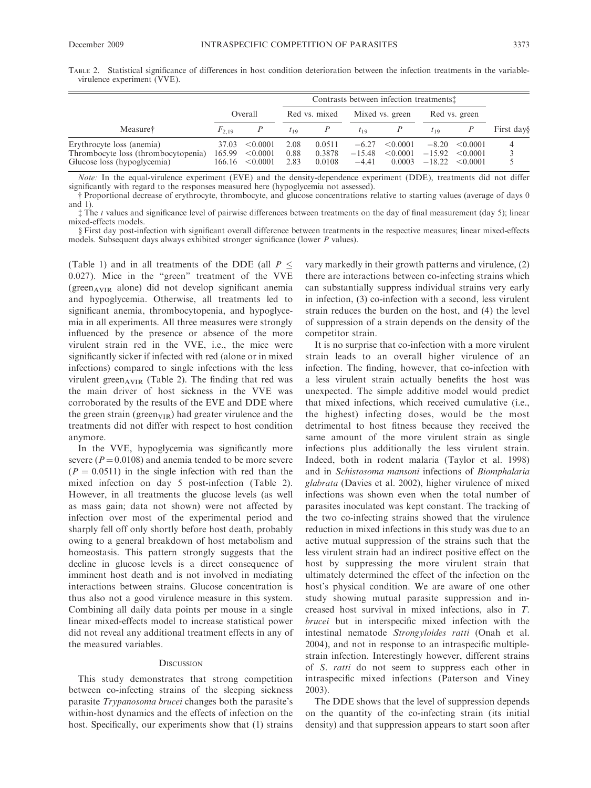| ×<br>٧ | ×<br>۰. | ٧ |
|--------|---------|---|

|  |                             |  |  | TABLE 2. Statistical significance of differences in host condition deterioration between the infection treatments in the variable- |  |  |  |  |
|--|-----------------------------|--|--|------------------------------------------------------------------------------------------------------------------------------------|--|--|--|--|
|  | virulence experiment (VVE). |  |  |                                                                                                                                    |  |  |  |  |

|                                                                                                 |                           | Contrasts between infection treatments: |                      |                            |                                |                                |                      |                                            |           |
|-------------------------------------------------------------------------------------------------|---------------------------|-----------------------------------------|----------------------|----------------------------|--------------------------------|--------------------------------|----------------------|--------------------------------------------|-----------|
|                                                                                                 | Overall                   |                                         |                      | Red vs. mixed              |                                | Mixed vs. green                | Red vs. green        |                                            |           |
| Measure†                                                                                        | $F_{2,19}$                |                                         | $t_{19}$             |                            | $t_{19}$                       |                                | $t_{10}$             |                                            | First day |
| Erythrocyte loss (anemia)<br>Thrombocyte loss (thrombocytopenia)<br>Glucose loss (hypoglycemia) | 37.03<br>165.99<br>166.16 | < 0.0001<br>< 0.0001<br>< 0.0001        | 2.08<br>0.88<br>2.83 | 0.0511<br>0.3878<br>0.0108 | $-6.27$<br>$-15.48$<br>$-4.41$ | < 0.0001<br>< 0.0001<br>0.0003 | $-15.92$<br>$-18.22$ | $-8.20 \le 0.0001$<br>< 0.0001<br>< 0.0001 | 4         |

Note: In the equal-virulence experiment (EVE) and the density-dependence experiment (DDE), treatments did not differ significantly with regard to the responses measured here (hypoglycemia not assessed).

- Proportional decrease of erythrocyte, thrombocyte, and glucose concentrations relative to starting values (average of days 0 and 1).

 $\ddagger$  The t values and significance level of pairwise differences between treatments on the day of final measurement (day 5); linear mixed-effects models.

§ First day post-infection with significant overall difference between treatments in the respective measures; linear mixed-effects models. Subsequent days always exhibited stronger significance (lower P values).

(Table 1) and in all treatments of the DDE (all  $P \leq$ 0.027). Mice in the ''green'' treatment of the VVE  $(green_{AVIR}$  alone) did not develop significant anemia and hypoglycemia. Otherwise, all treatments led to significant anemia, thrombocytopenia, and hypoglycemia in all experiments. All three measures were strongly influenced by the presence or absence of the more virulent strain red in the VVE, i.e., the mice were significantly sicker if infected with red (alone or in mixed infections) compared to single infections with the less virulent green $_{\text{AVIR}}$  (Table 2). The finding that red was the main driver of host sickness in the VVE was corroborated by the results of the EVE and DDE where the green strain (green $_{\text{VIR}}$ ) had greater virulence and the treatments did not differ with respect to host condition anymore.

In the VVE, hypoglycemia was significantly more severe ( $P = 0.0108$ ) and anemia tended to be more severe  $(P = 0.0511)$  in the single infection with red than the mixed infection on day 5 post-infection (Table 2). However, in all treatments the glucose levels (as well as mass gain; data not shown) were not affected by infection over most of the experimental period and sharply fell off only shortly before host death, probably owing to a general breakdown of host metabolism and homeostasis. This pattern strongly suggests that the decline in glucose levels is a direct consequence of imminent host death and is not involved in mediating interactions between strains. Glucose concentration is thus also not a good virulence measure in this system. Combining all daily data points per mouse in a single linear mixed-effects model to increase statistical power did not reveal any additional treatment effects in any of the measured variables.

## **DISCUSSION**

This study demonstrates that strong competition between co-infecting strains of the sleeping sickness parasite Trypanosoma brucei changes both the parasite's within-host dynamics and the effects of infection on the host. Specifically, our experiments show that (1) strains vary markedly in their growth patterns and virulence, (2) there are interactions between co-infecting strains which can substantially suppress individual strains very early in infection, (3) co-infection with a second, less virulent strain reduces the burden on the host, and (4) the level of suppression of a strain depends on the density of the competitor strain.

It is no surprise that co-infection with a more virulent strain leads to an overall higher virulence of an infection. The finding, however, that co-infection with a less virulent strain actually benefits the host was unexpected. The simple additive model would predict that mixed infections, which received cumulative (i.e., the highest) infecting doses, would be the most detrimental to host fitness because they received the same amount of the more virulent strain as single infections plus additionally the less virulent strain. Indeed, both in rodent malaria (Taylor et al. 1998) and in Schistosoma mansoni infections of Biomphalaria glabrata (Davies et al. 2002), higher virulence of mixed infections was shown even when the total number of parasites inoculated was kept constant. The tracking of the two co-infecting strains showed that the virulence reduction in mixed infections in this study was due to an active mutual suppression of the strains such that the less virulent strain had an indirect positive effect on the host by suppressing the more virulent strain that ultimately determined the effect of the infection on the host's physical condition. We are aware of one other study showing mutual parasite suppression and increased host survival in mixed infections, also in T. brucei but in interspecific mixed infection with the intestinal nematode Strongyloides ratti (Onah et al. 2004), and not in response to an intraspecific multiplestrain infection. Interestingly however, different strains of S. ratti do not seem to suppress each other in intraspecific mixed infections (Paterson and Viney 2003).

The DDE shows that the level of suppression depends on the quantity of the co-infecting strain (its initial density) and that suppression appears to start soon after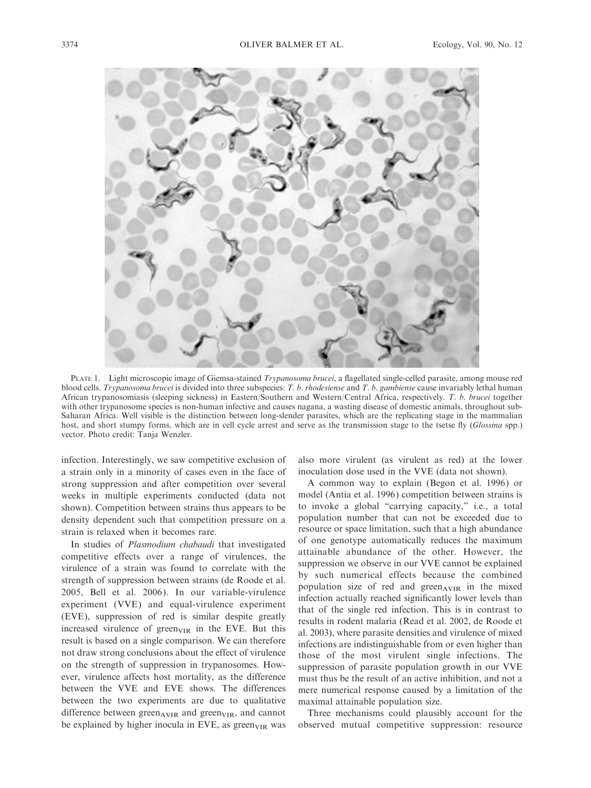

PLATE 1. Light microscopic image of Giemsa-stained *Trypanosoma brucei*, a flagellated single-celled parasite, among mouse red blood cells. Trypanosoma brucei is divided into three subspecies: T. b. rhodesiense and T. b. gambiense cause invariably lethal human African trypanosomiasis (sleeping sickness) in Eastern/Southern and Western/Central Africa, respectively. T. b. brucei together with other trypanosome species is non-human infective and causes nagana, a wasting disease of domestic animals, throughout sub-Saharan Africa. Well visible is the distinction between long-slender parasites, which are the replicating stage in the mammalian host, and short stumpy forms, which are in cell cycle arrest and serve as the transmission stage to the tsetse fly (Glossina spp.) vector. Photo credit: Tanja Wenzler.

infection. Interestingly, we saw competitive exclusion of a strain only in a minority of cases even in the face of strong suppression and after competition over several weeks in multiple experiments conducted (data not shown). Competition between strains thus appears to be density dependent such that competition pressure on a strain is relaxed when it becomes rare.

In studies of Plasmodium chabaudi that investigated competitive effects over a range of virulences, the virulence of a strain was found to correlate with the strength of suppression between strains (de Roode et al. 2005, Bell et al. 2006). In our variable-virulence experiment (VVE) and equal-virulence experiment (EVE), suppression of red is similar despite greatly increased virulence of green $_{\text{VIR}}$  in the EVE. But this result is based on a single comparison. We can therefore not draw strong conclusions about the effect of virulence on the strength of suppression in trypanosomes. However, virulence affects host mortality, as the difference between the VVE and EVE shows. The differences between the two experiments are due to qualitative difference between green $_{AVIR}$  and green $_{VIR}$ , and cannot be explained by higher inocula in EVE, as green $_{\text{VIR}}$  was

also more virulent (as virulent as red) at the lower inoculation dose used in the VVE (data not shown).

A common way to explain (Begon et al. 1996) or model (Antia et al. 1996) competition between strains is to invoke a global ''carrying capacity,'' i.e., a total population number that can not be exceeded due to resource or space limitation, such that a high abundance of one genotype automatically reduces the maximum attainable abundance of the other. However, the suppression we observe in our VVE cannot be explained by such numerical effects because the combined population size of red and green $_{\text{AVIR}}$  in the mixed infection actually reached significantly lower levels than that of the single red infection. This is in contrast to results in rodent malaria (Read et al. 2002, de Roode et al. 2003), where parasite densities and virulence of mixed infections are indistinguishable from or even higher than those of the most virulent single infections. The suppression of parasite population growth in our VVE must thus be the result of an active inhibition, and not a mere numerical response caused by a limitation of the maximal attainable population size.

Three mechanisms could plausibly account for the observed mutual competitive suppression: resource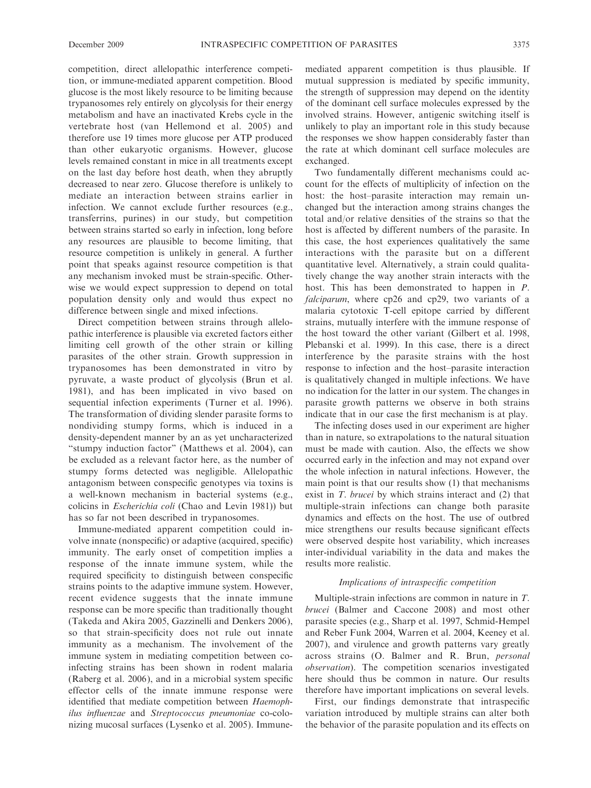competition, direct allelopathic interference competition, or immune-mediated apparent competition. Blood glucose is the most likely resource to be limiting because trypanosomes rely entirely on glycolysis for their energy metabolism and have an inactivated Krebs cycle in the vertebrate host (van Hellemond et al. 2005) and therefore use 19 times more glucose per ATP produced than other eukaryotic organisms. However, glucose levels remained constant in mice in all treatments except on the last day before host death, when they abruptly decreased to near zero. Glucose therefore is unlikely to mediate an interaction between strains earlier in infection. We cannot exclude further resources (e.g., transferrins, purines) in our study, but competition between strains started so early in infection, long before any resources are plausible to become limiting, that resource competition is unlikely in general. A further point that speaks against resource competition is that any mechanism invoked must be strain-specific. Otherwise we would expect suppression to depend on total population density only and would thus expect no difference between single and mixed infections.

Direct competition between strains through allelopathic interference is plausible via excreted factors either limiting cell growth of the other strain or killing parasites of the other strain. Growth suppression in trypanosomes has been demonstrated in vitro by pyruvate, a waste product of glycolysis (Brun et al. 1981), and has been implicated in vivo based on sequential infection experiments (Turner et al. 1996). The transformation of dividing slender parasite forms to nondividing stumpy forms, which is induced in a density-dependent manner by an as yet uncharacterized "stumpy induction factor" (Matthews et al. 2004), can be excluded as a relevant factor here, as the number of stumpy forms detected was negligible. Allelopathic antagonism between conspecific genotypes via toxins is a well-known mechanism in bacterial systems (e.g., colicins in Escherichia coli (Chao and Levin 1981)) but has so far not been described in trypanosomes.

Immune-mediated apparent competition could involve innate (nonspecific) or adaptive (acquired, specific) immunity. The early onset of competition implies a response of the innate immune system, while the required specificity to distinguish between conspecific strains points to the adaptive immune system. However, recent evidence suggests that the innate immune response can be more specific than traditionally thought (Takeda and Akira 2005, Gazzinelli and Denkers 2006), so that strain-specificity does not rule out innate immunity as a mechanism. The involvement of the immune system in mediating competition between coinfecting strains has been shown in rodent malaria (Raberg et al. 2006), and in a microbial system specific effector cells of the innate immune response were identified that mediate competition between Haemophilus influenzae and Streptococcus pneumoniae co-colonizing mucosal surfaces (Lysenko et al. 2005). Immunemediated apparent competition is thus plausible. If mutual suppression is mediated by specific immunity, the strength of suppression may depend on the identity of the dominant cell surface molecules expressed by the involved strains. However, antigenic switching itself is unlikely to play an important role in this study because the responses we show happen considerably faster than the rate at which dominant cell surface molecules are exchanged.

Two fundamentally different mechanisms could account for the effects of multiplicity of infection on the host: the host–parasite interaction may remain unchanged but the interaction among strains changes the total and/or relative densities of the strains so that the host is affected by different numbers of the parasite. In this case, the host experiences qualitatively the same interactions with the parasite but on a different quantitative level. Alternatively, a strain could qualitatively change the way another strain interacts with the host. This has been demonstrated to happen in P. falciparum, where cp26 and cp29, two variants of a malaria cytotoxic T-cell epitope carried by different strains, mutually interfere with the immune response of the host toward the other variant (Gilbert et al. 1998, Plebanski et al. 1999). In this case, there is a direct interference by the parasite strains with the host response to infection and the host–parasite interaction is qualitatively changed in multiple infections. We have no indication for the latter in our system. The changes in parasite growth patterns we observe in both strains indicate that in our case the first mechanism is at play.

The infecting doses used in our experiment are higher than in nature, so extrapolations to the natural situation must be made with caution. Also, the effects we show occurred early in the infection and may not expand over the whole infection in natural infections. However, the main point is that our results show (1) that mechanisms exist in  $T$ . brucei by which strains interact and  $(2)$  that multiple-strain infections can change both parasite dynamics and effects on the host. The use of outbred mice strengthens our results because significant effects were observed despite host variability, which increases inter-individual variability in the data and makes the results more realistic.

# Implications of intraspecific competition

Multiple-strain infections are common in nature in T. brucei (Balmer and Caccone 2008) and most other parasite species (e.g., Sharp et al. 1997, Schmid-Hempel and Reber Funk 2004, Warren et al. 2004, Keeney et al. 2007), and virulence and growth patterns vary greatly across strains (O. Balmer and R. Brun, personal observation). The competition scenarios investigated here should thus be common in nature. Our results therefore have important implications on several levels.

First, our findings demonstrate that intraspecific variation introduced by multiple strains can alter both the behavior of the parasite population and its effects on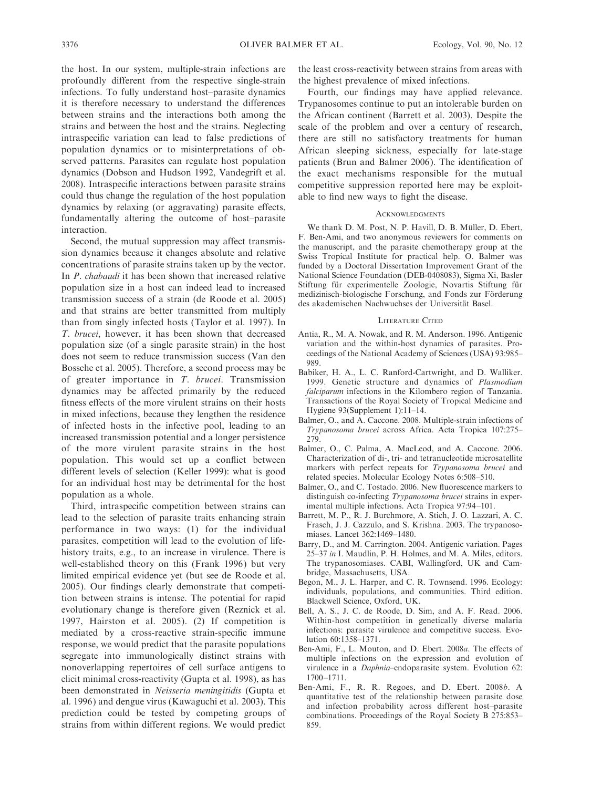the host. In our system, multiple-strain infections are profoundly different from the respective single-strain infections. To fully understand host–parasite dynamics it is therefore necessary to understand the differences between strains and the interactions both among the strains and between the host and the strains. Neglecting intraspecific variation can lead to false predictions of population dynamics or to misinterpretations of observed patterns. Parasites can regulate host population dynamics (Dobson and Hudson 1992, Vandegrift et al. 2008). Intraspecific interactions between parasite strains could thus change the regulation of the host population dynamics by relaxing (or aggravating) parasite effects, fundamentally altering the outcome of host–parasite interaction.

Second, the mutual suppression may affect transmission dynamics because it changes absolute and relative concentrations of parasite strains taken up by the vector. In *P. chabaudi* it has been shown that increased relative population size in a host can indeed lead to increased transmission success of a strain (de Roode et al. 2005) and that strains are better transmitted from multiply than from singly infected hosts (Taylor et al. 1997). In T. brucei, however, it has been shown that decreased population size (of a single parasite strain) in the host does not seem to reduce transmission success (Van den Bossche et al. 2005). Therefore, a second process may be of greater importance in T. brucei. Transmission dynamics may be affected primarily by the reduced fitness effects of the more virulent strains on their hosts in mixed infections, because they lengthen the residence of infected hosts in the infective pool, leading to an increased transmission potential and a longer persistence of the more virulent parasite strains in the host population. This would set up a conflict between different levels of selection (Keller 1999): what is good for an individual host may be detrimental for the host population as a whole.

Third, intraspecific competition between strains can lead to the selection of parasite traits enhancing strain performance in two ways: (1) for the individual parasites, competition will lead to the evolution of lifehistory traits, e.g., to an increase in virulence. There is well-established theory on this (Frank 1996) but very limited empirical evidence yet (but see de Roode et al. 2005). Our findings clearly demonstrate that competition between strains is intense. The potential for rapid evolutionary change is therefore given (Reznick et al. 1997, Hairston et al. 2005). (2) If competition is mediated by a cross-reactive strain-specific immune response, we would predict that the parasite populations segregate into immunologically distinct strains with nonoverlapping repertoires of cell surface antigens to elicit minimal cross-reactivity (Gupta et al. 1998), as has been demonstrated in Neisseria meningitidis (Gupta et al. 1996) and dengue virus (Kawaguchi et al. 2003). This prediction could be tested by competing groups of strains from within different regions. We would predict the least cross-reactivity between strains from areas with the highest prevalence of mixed infections.

Fourth, our findings may have applied relevance. Trypanosomes continue to put an intolerable burden on the African continent (Barrett et al. 2003). Despite the scale of the problem and over a century of research, there are still no satisfactory treatments for human African sleeping sickness, especially for late-stage patients (Brun and Balmer 2006). The identification of the exact mechanisms responsible for the mutual competitive suppression reported here may be exploitable to find new ways to fight the disease.

## ACKNOWLEDGMENTS

We thank D. M. Post, N. P. Havill, D. B. Müller, D. Ebert, F. Ben-Ami, and two anonymous reviewers for comments on the manuscript, and the parasite chemotherapy group at the Swiss Tropical Institute for practical help. O. Balmer was funded by a Doctoral Dissertation Improvement Grant of the National Science Foundation (DEB-0408083), Sigma Xi, Basler Stiftung für experimentelle Zoologie, Novartis Stiftung für medizinisch-biologische Forschung, and Fonds zur Förderung des akademischen Nachwuchses der Universität Basel.

## LITERATURE CITED

- Antia, R., M. A. Nowak, and R. M. Anderson. 1996. Antigenic variation and the within-host dynamics of parasites. Proceedings of the National Academy of Sciences (USA) 93:985– 989.
- Babiker, H. A., L. C. Ranford-Cartwright, and D. Walliker. 1999. Genetic structure and dynamics of Plasmodium falciparum infections in the Kilombero region of Tanzania. Transactions of the Royal Society of Tropical Medicine and Hygiene 93(Supplement 1):11–14.
- Balmer, O., and A. Caccone. 2008. Multiple-strain infections of Trypanosoma brucei across Africa. Acta Tropica 107:275– 279.
- Balmer, O., C. Palma, A. MacLeod, and A. Caccone. 2006. Characterization of di-, tri- and tetranucleotide microsatellite markers with perfect repeats for Trypanosoma brucei and related species. Molecular Ecology Notes 6:508–510.
- Balmer, O., and C. Tostado. 2006. New fluorescence markers to distinguish co-infecting Trypanosoma brucei strains in experimental multiple infections. Acta Tropica 97:94–101.
- Barrett, M. P., R. J. Burchmore, A. Stich, J. O. Lazzari, A. C. Frasch, J. J. Cazzulo, and S. Krishna. 2003. The trypanosomiases. Lancet 362:1469–1480.
- Barry, D., and M. Carrington. 2004. Antigenic variation. Pages 25–37 in I. Maudlin, P. H. Holmes, and M. A. Miles, editors. The trypanosomiases. CABI, Wallingford, UK and Cambridge, Massachusetts, USA.
- Begon, M., J. L. Harper, and C. R. Townsend. 1996. Ecology: individuals, populations, and communities. Third edition. Blackwell Science, Oxford, UK.
- Bell, A. S., J. C. de Roode, D. Sim, and A. F. Read. 2006. Within-host competition in genetically diverse malaria infections: parasite virulence and competitive success. Evolution 60:1358–1371.
- Ben-Ami, F., L. Mouton, and D. Ebert. 2008a. The effects of multiple infections on the expression and evolution of virulence in a Daphnia–endoparasite system. Evolution 62: 1700–1711.
- Ben-Ami, F., R. R. Regoes, and D. Ebert. 2008b. A quantitative test of the relationship between parasite dose and infection probability across different host–parasite combinations. Proceedings of the Royal Society B 275:853– 859.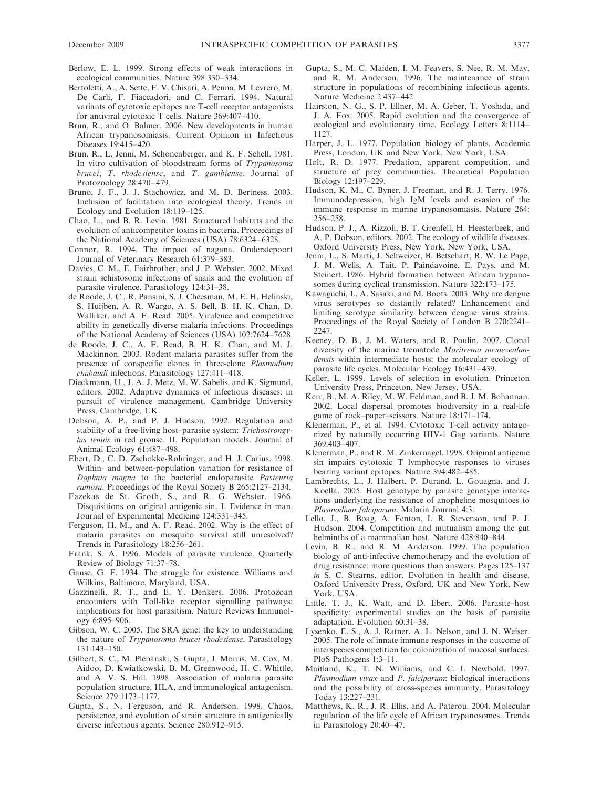- Berlow, E. L. 1999. Strong effects of weak interactions in ecological communities. Nature 398:330–334.
- Bertoletti, A., A. Sette, F. V. Chisari, A. Penna, M. Levrero, M. De Carli, F. Fiaccadori, and C. Ferrari. 1994. Natural variants of cytotoxic epitopes are T-cell receptor antagonists for antiviral cytotoxic T cells. Nature 369:407–410.
- Brun, R., and O. Balmer. 2006. New developments in human African trypanosomiasis. Current Opinion in Infectious Diseases 19:415–420.
- Brun, R., L. Jenni, M. Schonenberger, and K. F. Schell. 1981. In vitro cultivation of bloodstream forms of Trypanosoma brucei, T. rhodesiense, and T. gambiense. Journal of Protozoology 28:470–479.
- Bruno, J. F., J. J. Stachowicz, and M. D. Bertness. 2003. Inclusion of facilitation into ecological theory. Trends in Ecology and Evolution 18:119–125.
- Chao, L., and B. R. Levin. 1981. Structured habitats and the evolution of anticompetitor toxins in bacteria. Proceedings of the National Academy of Sciences (USA) 78:6324–6328.
- Connor, R. 1994. The impact of nagana. Onderstepoort Journal of Veterinary Research 61:379–383.
- Davies, C. M., E. Fairbrother, and J. P. Webster. 2002. Mixed strain schistosome infections of snails and the evolution of parasite virulence. Parasitology 124:31–38.
- de Roode, J. C., R. Pansini, S. J. Cheesman, M. E. H. Helinski, S. Huijben, A. R. Wargo, A. S. Bell, B. H. K. Chan, D. Walliker, and A. F. Read. 2005. Virulence and competitive ability in genetically diverse malaria infections. Proceedings of the National Academy of Sciences (USA) 102:7624–7628.
- de Roode, J. C., A. F. Read, B. H. K. Chan, and M. J. Mackinnon. 2003. Rodent malaria parasites suffer from the presence of conspecific clones in three-clone Plasmodium chabaudi infections. Parasitology 127:411–418.
- Dieckmann, U., J. A. J. Metz, M. W. Sabelis, and K. Sigmund, editors. 2002. Adaptive dynamics of infectious diseases: in pursuit of virulence management. Cambridge University Press, Cambridge, UK.
- Dobson, A. P., and P. J. Hudson. 1992. Regulation and stability of a free-living host–parasite system: Trichostrongylus tenuis in red grouse. II. Population models. Journal of Animal Ecology 61:487–498.
- Ebert, D., C. D. Zschokke-Rohringer, and H. J. Carius. 1998. Within- and between-population variation for resistance of Daphnia magna to the bacterial endoparasite Pasteuria ramosa. Proceedings of the Royal Society B 265:2127–2134.
- Fazekas de St. Groth, S., and R. G. Webster. 1966. Disquisitions on original antigenic sin. I. Evidence in man. Journal of Experimental Medicine 124:331–345.
- Ferguson, H. M., and A. F. Read. 2002. Why is the effect of malaria parasites on mosquito survival still unresolved? Trends in Parasitology 18:256–261.
- Frank, S. A. 1996. Models of parasite virulence. Quarterly Review of Biology 71:37–78.
- Gause, G. F. 1934. The struggle for existence. Williams and Wilkins, Baltimore, Maryland, USA.
- Gazzinelli, R. T., and E. Y. Denkers. 2006. Protozoan encounters with Toll-like receptor signalling pathways: implications for host parasitism. Nature Reviews Immunology 6:895–906.
- Gibson, W. C. 2005. The SRA gene: the key to understanding the nature of Trypanosoma brucei rhodesiense. Parasitology 131:143–150.
- Gilbert, S. C., M. Plebanski, S. Gupta, J. Morris, M. Cox, M. Aidoo, D. Kwiatkowski, B. M. Greenwood, H. C. Whittle, and A. V. S. Hill. 1998. Association of malaria parasite population structure, HLA, and immunological antagonism. Science 279:1173–1177.
- Gupta, S., N. Ferguson, and R. Anderson. 1998. Chaos, persistence, and evolution of strain structure in antigenically diverse infectious agents. Science 280:912–915.
- Gupta, S., M. C. Maiden, I. M. Feavers, S. Nee, R. M. May, and R. M. Anderson. 1996. The maintenance of strain structure in populations of recombining infectious agents. Nature Medicine 2:437–442.
- Hairston, N. G., S. P. Ellner, M. A. Geber, T. Yoshida, and J. A. Fox. 2005. Rapid evolution and the convergence of ecological and evolutionary time. Ecology Letters 8:1114– 1127.
- Harper, J. L. 1977. Population biology of plants. Academic Press, London, UK and New York, New York, USA.
- Holt, R. D. 1977. Predation, apparent competition, and structure of prey communities. Theoretical Population Biology 12:197–229.
- Hudson, K. M., C. Byner, J. Freeman, and R. J. Terry. 1976. Immunodepression, high IgM levels and evasion of the immune response in murine trypanosomiasis. Nature 264: 256–258.
- Hudson, P. J., A. Rizzoli, B. T. Grenfell, H. Heesterbeek, and A. P. Dobson, editors. 2002. The ecology of wildlife diseases. Oxford University Press, New York, New York, USA.
- Jenni, L., S. Marti, J. Schweizer, B. Betschart, R. W. Le Page, J. M. Wells, A. Tait, P. Paindavoine, E. Pays, and M. Steinert. 1986. Hybrid formation between African trypanosomes during cyclical transmission. Nature 322:173–175.
- Kawaguchi, I., A. Sasaki, and M. Boots. 2003. Why are dengue virus serotypes so distantly related? Enhancement and limiting serotype similarity between dengue virus strains. Proceedings of the Royal Society of London B 270:2241– 2247.
- Keeney, D. B., J. M. Waters, and R. Poulin. 2007. Clonal diversity of the marine trematode Maritrema novaezealandensis within intermediate hosts: the molecular ecology of parasite life cycles. Molecular Ecology 16:431–439.
- Keller, L. 1999. Levels of selection in evolution. Princeton University Press, Princeton, New Jersey, USA.
- Kerr, B., M. A. Riley, M. W. Feldman, and B. J. M. Bohannan. 2002. Local dispersal promotes biodiversity in a real-life game of rock–paper–scissors. Nature 18:171–174.
- Klenerman, P., et al. 1994. Cytotoxic T-cell activity antagonized by naturally occurring HIV-1 Gag variants. Nature 369:403–407.
- Klenerman, P., and R. M. Zinkernagel. 1998. Original antigenic sin impairs cytotoxic T lymphocyte responses to viruses bearing variant epitopes. Nature 394:482–485.
- Lambrechts, L., J. Halbert, P. Durand, L. Gouagna, and J. Koella. 2005. Host genotype by parasite genotype interactions underlying the resistance of anopheline mosquitoes to Plasmodium falciparum. Malaria Journal 4:3.
- Lello, J., B. Boag, A. Fenton, I. R. Stevenson, and P. J. Hudson. 2004. Competition and mutualism among the gut helminths of a mammalian host. Nature 428:840–844.
- Levin, B. R., and R. M. Anderson. 1999. The population biology of anti-infective chemotherapy and the evolution of drug resistance: more questions than answers. Pages 125–137 in S. C. Stearns, editor. Evolution in health and disease. Oxford University Press, Oxford, UK and New York, New York, USA.
- Little, T. J., K. Watt, and D. Ebert. 2006. Parasite–host specificity: experimental studies on the basis of parasite adaptation. Evolution 60:31–38.
- Lysenko, E. S., A. J. Ratner, A. L. Nelson, and J. N. Weiser. 2005. The role of innate immune responses in the outcome of interspecies competition for colonization of mucosal surfaces. PloS Pathogens 1:3–11.
- Maitland, K., T. N. Williams, and C. I. Newbold. 1997. Plasmodium vivax and P. falciparum: biological interactions and the possibility of cross-species immunity. Parasitology Today 13:227–231.
- Matthews, K. R., J. R. Ellis, and A. Paterou. 2004. Molecular regulation of the life cycle of African trypanosomes. Trends in Parasitology 20:40–47.